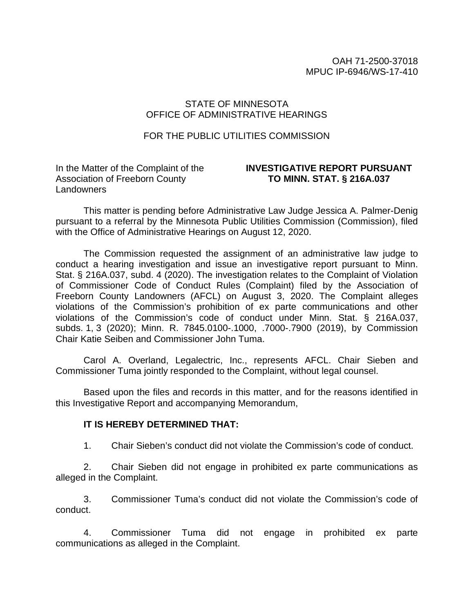OAH 71-2500-37018 MPUC IP-6946/WS-17-410

### STATE OF MINNESOTA OFFICE OF ADMINISTRATIVE HEARINGS

### FOR THE PUBLIC UTILITIES COMMISSION

In the Matter of the Complaint of the Association of Freeborn County **Landowners** 

### **INVESTIGATIVE REPORT PURSUANT TO MINN. STAT. § 216A.037**

This matter is pending before Administrative Law Judge Jessica A. Palmer-Denig pursuant to a referral by the Minnesota Public Utilities Commission (Commission), filed with the Office of Administrative Hearings on August 12, 2020.

The Commission requested the assignment of an administrative law judge to conduct a hearing investigation and issue an investigative report pursuant to Minn. Stat. § 216A.037, subd. 4 (2020). The investigation relates to the Complaint of Violation of Commissioner Code of Conduct Rules (Complaint) filed by the Association of Freeborn County Landowners (AFCL) on August 3, 2020. The Complaint alleges violations of the Commission's prohibition of ex parte communications and other violations of the Commission's code of conduct under Minn. Stat. § 216A.037, subds. 1, 3 (2020); Minn. R. 7845.0100-.1000, .7000-.7900 (2019), by Commission Chair Katie Seiben and Commissioner John Tuma.

Carol A. Overland, Legalectric, Inc., represents AFCL. Chair Sieben and Commissioner Tuma jointly responded to the Complaint, without legal counsel.

Based upon the files and records in this matter, and for the reasons identified in this Investigative Report and accompanying Memorandum,

#### **IT IS HEREBY DETERMINED THAT:**

1. Chair Sieben's conduct did not violate the Commission's code of conduct.

2. Chair Sieben did not engage in prohibited ex parte communications as alleged in the Complaint.

3. Commissioner Tuma's conduct did not violate the Commission's code of conduct.

4. Commissioner Tuma did not engage in prohibited ex parte communications as alleged in the Complaint.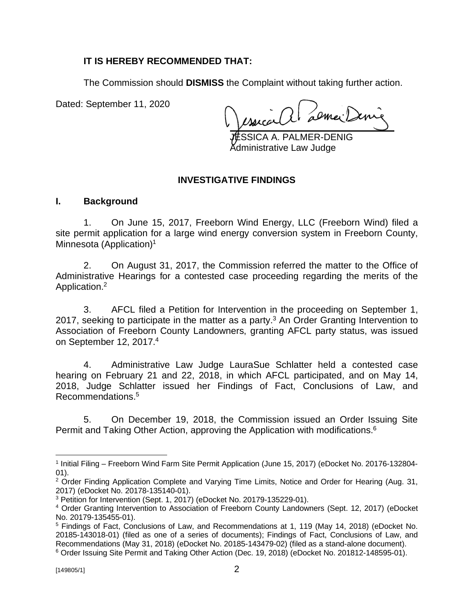## **IT IS HEREBY RECOMMENDED THAT:**

The Commission should **DISMISS** the Complaint without taking further action.

Dated: September 11, 2020

réalit demail

SICA A. PALMER-DENIG Administrative Law Judge

## **INVESTIGATIVE FINDINGS**

### **I. Background**

1. On June 15, 2017, Freeborn Wind Energy, LLC (Freeborn Wind) filed a site permit application for a large wind energy conversion system in Freeborn County, Minnesota (Application)<sup>1</sup>

2. On August 31, 2017, the Commission referred the matter to the Office of Administrative Hearings for a contested case proceeding regarding the merits of the Application.<sup>2</sup>

3. AFCL filed a Petition for Intervention in the proceeding on September 1, 2017, seeking to participate in the matter as a party.<sup>3</sup> An Order Granting Intervention to Association of Freeborn County Landowners, granting AFCL party status, was issued on September 12, 2017.<sup>4</sup>

4. Administrative Law Judge LauraSue Schlatter held a contested case hearing on February 21 and 22, 2018, in which AFCL participated, and on May 14, 2018, Judge Schlatter issued her Findings of Fact, Conclusions of Law, and Recommendations.<sup>5</sup>

5. On December 19, 2018, the Commission issued an Order Issuing Site Permit and Taking Other Action, approving the Application with modifications.<sup>6</sup>

<sup>&</sup>lt;sup>1</sup> Initial Filing – Freeborn Wind Farm Site Permit Application (June 15, 2017) (eDocket No. 20176-132804-01).

<sup>&</sup>lt;sup>2</sup> Order Finding Application Complete and Varying Time Limits, Notice and Order for Hearing (Aug. 31, 2017) (eDocket No. 20178-135140-01).

<sup>&</sup>lt;sup>3</sup> Petition for Intervention (Sept. 1, 2017) (eDocket No. 20179-135229-01).

<sup>4</sup> Order Granting Intervention to Association of Freeborn County Landowners (Sept. 12, 2017) (eDocket No. 20179-135455-01).

<sup>5</sup> Findings of Fact, Conclusions of Law, and Recommendations at 1, 119 (May 14, 2018) (eDocket No. 20185-143018-01) (filed as one of a series of documents); Findings of Fact, Conclusions of Law, and Recommendations (May 31, 2018) (eDocket No. 20185-143479-02) (filed as a stand-alone document).

<sup>6</sup> Order Issuing Site Permit and Taking Other Action (Dec. 19, 2018) (eDocket No. 201812-148595-01).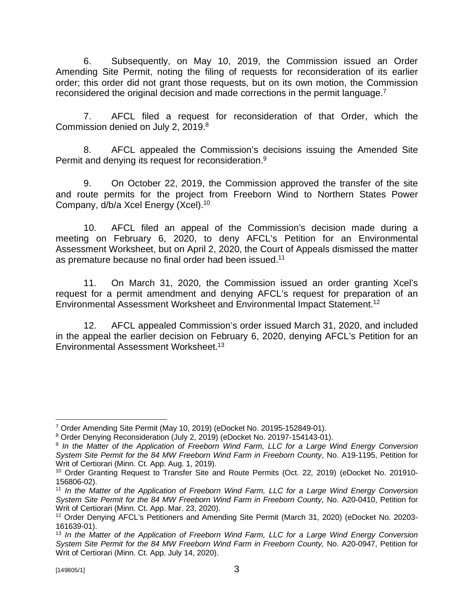6. Subsequently, on May 10, 2019, the Commission issued an Order Amending Site Permit, noting the filing of requests for reconsideration of its earlier order; this order did not grant those requests, but on its own motion, the Commission reconsidered the original decision and made corrections in the permit language.<sup>7</sup>

7. AFCL filed a request for reconsideration of that Order, which the Commission denied on July 2, 2019.<sup>8</sup>

8. AFCL appealed the Commission's decisions issuing the Amended Site Permit and denying its request for reconsideration.<sup>9</sup>

9. On October 22, 2019, the Commission approved the transfer of the site and route permits for the project from Freeborn Wind to Northern States Power Company, d/b/a Xcel Energy (Xcel).<sup>10</sup>

10. AFCL filed an appeal of the Commission's decision made during a meeting on February 6, 2020, to deny AFCL's Petition for an Environmental Assessment Worksheet, but on April 2, 2020, the Court of Appeals dismissed the matter as premature because no final order had been issued.<sup>11</sup>

11. On March 31, 2020, the Commission issued an order granting Xcel's request for a permit amendment and denying AFCL's request for preparation of an Environmental Assessment Worksheet and Environmental Impact Statement.<sup>12</sup>

12. AFCL appealed Commission's order issued March 31, 2020, and included in the appeal the earlier decision on February 6, 2020, denying AFCL's Petition for an Environmental Assessment Worksheet.<sup>13</sup>

<sup>7</sup> Order Amending Site Permit (May 10, 2019) (eDocket No. 20195-152849-01).

<sup>8</sup> Order Denying Reconsideration (July 2, 2019) (eDocket No. 20197-154143-01).

<sup>&</sup>lt;sup>9</sup> In the Matter of the Application of Freeborn Wind Farm, LLC for a Large Wind Energy Conversion *System Site Permit for the 84 MW Freeborn Wind Farm in Freeborn County*, No. A19-1195, Petition for Writ of Certiorari (Minn. Ct. App. Aug. 1, 2019).

<sup>10</sup> Order Granting Request to Transfer Site and Route Permits (Oct. 22, 2019) (eDocket No. 201910- 156806-02).

<sup>11</sup> *In the Matter of the Application of Freeborn Wind Farm, LLC for a Large Wind Energy Conversion System Site Permit for the 84 MW Freeborn Wind Farm in Freeborn County,* No. A20-0410, Petition for Writ of Certiorari (Minn. Ct. App. Mar. 23, 2020).

<sup>12</sup> Order Denying AFCL's Petitioners and Amending Site Permit (March 31, 2020) (eDocket No. 20203- 161639-01).

<sup>13</sup> *In the Matter of the Application of Freeborn Wind Farm, LLC for a Large Wind Energy Conversion System Site Permit for the 84 MW Freeborn Wind Farm in Freeborn County,* No. A20-0947, Petition for Writ of Certiorari (Minn. Ct. App. July 14, 2020).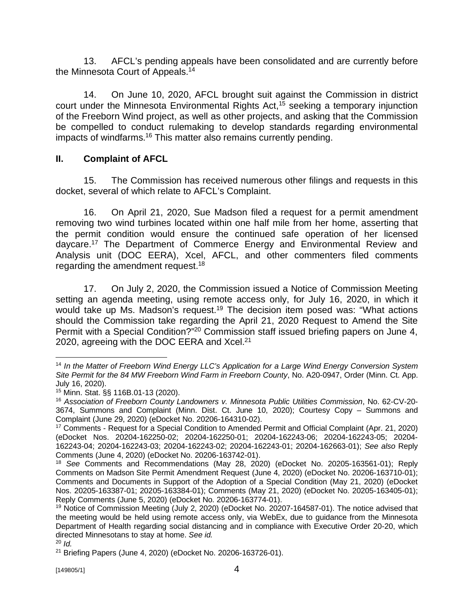13. AFCL's pending appeals have been consolidated and are currently before the Minnesota Court of Appeals.<sup>14</sup>

14. On June 10, 2020, AFCL brought suit against the Commission in district court under the Minnesota Environmental Rights Act,<sup>15</sup> seeking a temporary injunction of the Freeborn Wind project, as well as other projects, and asking that the Commission be compelled to conduct rulemaking to develop standards regarding environmental impacts of windfarms.<sup>16</sup> This matter also remains currently pending.

# **II. Complaint of AFCL**

15. The Commission has received numerous other filings and requests in this docket, several of which relate to AFCL's Complaint.

16. On April 21, 2020, Sue Madson filed a request for a permit amendment removing two wind turbines located within one half mile from her home, asserting that the permit condition would ensure the continued safe operation of her licensed daycare.<sup>17</sup> The Department of Commerce Energy and Environmental Review and Analysis unit (DOC EERA), Xcel, AFCL, and other commenters filed comments regarding the amendment request.<sup>18</sup>

17. On July 2, 2020, the Commission issued a Notice of Commission Meeting setting an agenda meeting, using remote access only, for July 16, 2020, in which it would take up Ms. Madson's request.<sup>19</sup> The decision item posed was: "What actions should the Commission take regarding the April 21, 2020 Request to Amend the Site Permit with a Special Condition?"<sup>20</sup> Commission staff issued briefing papers on June 4, 2020, agreeing with the DOC EERA and Xcel.<sup>21</sup>

<sup>&</sup>lt;sup>14</sup> In the Matter of Freeborn Wind Energy LLC's Application for a Large Wind Energy Conversion System *Site Permit for the 84 MW Freeborn Wind Farm in Freeborn County*, No. A20-0947, Order (Minn. Ct. App. July 16, 2020).

<sup>15</sup> Minn. Stat. §§ 116B.01-13 (2020).

<sup>16</sup> *Association of Freeborn County Landowners v. Minnesota Public Utilities Commission*, No. 62-CV-20- 3674, Summons and Complaint (Minn. Dist. Ct. June 10, 2020); Courtesy Copy – Summons and Complaint (June 29, 2020) (eDocket No. 20206-164310-02).

<sup>17</sup> Comments - Request for a Special Condition to Amended Permit and Official Complaint (Apr. 21, 2020) (eDocket Nos. 20204-162250-02; 20204-162250-01; 20204-162243-06; 20204-162243-05; 20204- 162243-04; 20204-162243-03; 20204-162243-02; 20204-162243-01; 20204-162663-01); *See also* Reply Comments (June 4, 2020) (eDocket No. 20206-163742-01).

<sup>18</sup> *See* Comments and Recommendations (May 28, 2020) (eDocket No. 20205-163561-01); Reply Comments on Madson Site Permit Amendment Request (June 4, 2020) (eDocket No. 20206-163710-01); Comments and Documents in Support of the Adoption of a Special Condition (May 21, 2020) (eDocket Nos. 20205-163387-01; 20205-163384-01); Comments (May 21, 2020) (eDocket No. 20205-163405-01); Reply Comments (June 5, 2020) (eDocket No. 20206-163774-01).

<sup>19</sup> Notice of Commission Meeting (July 2, 2020) (eDocket No. 20207-164587-01). The notice advised that the meeting would be held using remote access only, via WebEx, due to guidance from the Minnesota Department of Health regarding social distancing and in compliance with Executive Order 20-20, which directed Minnesotans to stay at home. *See id.*

<sup>20</sup> *Id.*

<sup>21</sup> Briefing Papers (June 4, 2020) (eDocket No. 20206-163726-01).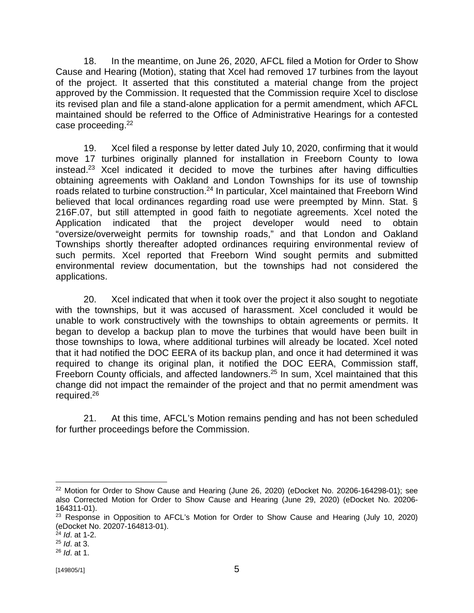18. In the meantime, on June 26, 2020, AFCL filed a Motion for Order to Show Cause and Hearing (Motion), stating that Xcel had removed 17 turbines from the layout of the project. It asserted that this constituted a material change from the project approved by the Commission. It requested that the Commission require Xcel to disclose its revised plan and file a stand-alone application for a permit amendment, which AFCL maintained should be referred to the Office of Administrative Hearings for a contested case proceeding.<sup>22</sup>

19. Xcel filed a response by letter dated July 10, 2020, confirming that it would move 17 turbines originally planned for installation in Freeborn County to Iowa instead.<sup>23</sup> Xcel indicated it decided to move the turbines after having difficulties obtaining agreements with Oakland and London Townships for its use of township roads related to turbine construction.<sup>24</sup> In particular, Xcel maintained that Freeborn Wind believed that local ordinances regarding road use were preempted by Minn. Stat. § 216F.07, but still attempted in good faith to negotiate agreements. Xcel noted the Application indicated that the project developer would need to obtain "oversize/overweight permits for township roads," and that London and Oakland Townships shortly thereafter adopted ordinances requiring environmental review of such permits. Xcel reported that Freeborn Wind sought permits and submitted environmental review documentation, but the townships had not considered the applications.

20. Xcel indicated that when it took over the project it also sought to negotiate with the townships, but it was accused of harassment. Xcel concluded it would be unable to work constructively with the townships to obtain agreements or permits. It began to develop a backup plan to move the turbines that would have been built in those townships to Iowa, where additional turbines will already be located. Xcel noted that it had notified the DOC EERA of its backup plan, and once it had determined it was required to change its original plan, it notified the DOC EERA, Commission staff, Freeborn County officials, and affected landowners.<sup>25</sup> In sum, Xcel maintained that this change did not impact the remainder of the project and that no permit amendment was required.<sup>26</sup>

21. At this time, AFCL's Motion remains pending and has not been scheduled for further proceedings before the Commission.

 $22$  Motion for Order to Show Cause and Hearing (June 26, 2020) (eDocket No. 20206-164298-01); see also Corrected Motion for Order to Show Cause and Hearing (June 29, 2020) (eDocket No. 20206- 164311-01).

<sup>&</sup>lt;sup>23</sup> Response in Opposition to AFCL's Motion for Order to Show Cause and Hearing (July 10, 2020) (eDocket No. 20207-164813-01).

<sup>24</sup> *Id*. at 1-2.

<sup>25</sup> *Id*. at 3.

<sup>26</sup> *Id*. at 1.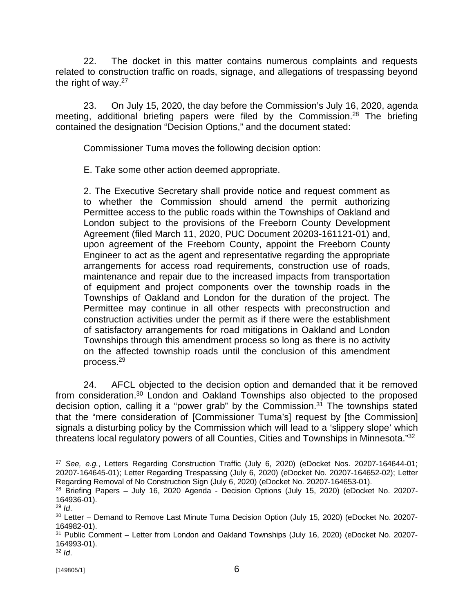22. The docket in this matter contains numerous complaints and requests related to construction traffic on roads, signage, and allegations of trespassing beyond the right of way.<sup>27</sup>

23. On July 15, 2020, the day before the Commission's July 16, 2020, agenda meeting, additional briefing papers were filed by the Commission.<sup>28</sup> The briefing contained the designation "Decision Options," and the document stated:

Commissioner Tuma moves the following decision option:

E. Take some other action deemed appropriate.

2. The Executive Secretary shall provide notice and request comment as to whether the Commission should amend the permit authorizing Permittee access to the public roads within the Townships of Oakland and London subject to the provisions of the Freeborn County Development Agreement (filed March 11, 2020, PUC Document 20203-161121-01) and, upon agreement of the Freeborn County, appoint the Freeborn County Engineer to act as the agent and representative regarding the appropriate arrangements for access road requirements, construction use of roads, maintenance and repair due to the increased impacts from transportation of equipment and project components over the township roads in the Townships of Oakland and London for the duration of the project. The Permittee may continue in all other respects with preconstruction and construction activities under the permit as if there were the establishment of satisfactory arrangements for road mitigations in Oakland and London Townships through this amendment process so long as there is no activity on the affected township roads until the conclusion of this amendment process.<sup>29</sup>

24. AFCL objected to the decision option and demanded that it be removed from consideration.<sup>30</sup> London and Oakland Townships also objected to the proposed decision option, calling it a "power grab" by the Commission. $3<sup>1</sup>$  The townships stated that the "mere consideration of [Commissioner Tuma's] request by [the Commission] signals a disturbing policy by the Commission which will lead to a 'slippery slope' which threatens local regulatory powers of all Counties, Cities and Townships in Minnesota."<sup>32</sup>

<sup>27</sup> *See, e.g.*, Letters Regarding Construction Traffic (July 6, 2020) (eDocket Nos. 20207-164644-01; 20207-164645-01); Letter Regarding Trespassing (July 6, 2020) (eDocket No. 20207-164652-02); Letter Regarding Removal of No Construction Sign (July 6, 2020) (eDocket No. 20207-164653-01).

<sup>&</sup>lt;sup>28</sup> Briefing Papers – July 16, 2020 Agenda - Decision Options (July 15, 2020) (eDocket No. 20207-164936-01).

<sup>29</sup> *Id*.

<sup>&</sup>lt;sup>30</sup> Letter – Demand to Remove Last Minute Tuma Decision Option (July 15, 2020) (eDocket No. 20207-164982-01).

<sup>&</sup>lt;sup>31</sup> Public Comment – Letter from London and Oakland Townships (July 16, 2020) (eDocket No. 20207-164993-01).

<sup>32</sup> *Id*.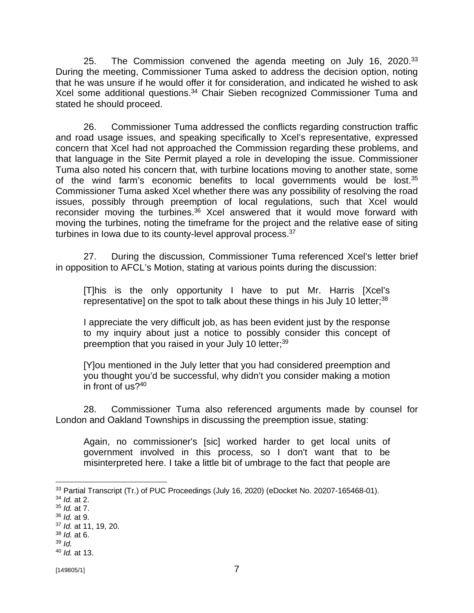25. The Commission convened the agenda meeting on July 16, 2020. $33$ During the meeting, Commissioner Tuma asked to address the decision option, noting that he was unsure if he would offer it for consideration, and indicated he wished to ask Xcel some additional questions.<sup>34</sup> Chair Sieben recognized Commissioner Tuma and stated he should proceed.

26. Commissioner Tuma addressed the conflicts regarding construction traffic and road usage issues, and speaking specifically to Xcel's representative, expressed concern that Xcel had not approached the Commission regarding these problems, and that language in the Site Permit played a role in developing the issue. Commissioner Tuma also noted his concern that, with turbine locations moving to another state, some of the wind farm's economic benefits to local governments would be lost.<sup>35</sup> Commissioner Tuma asked Xcel whether there was any possibility of resolving the road issues, possibly through preemption of local regulations, such that Xcel would reconsider moving the turbines.<sup>36</sup> Xcel answered that it would move forward with moving the turbines, noting the timeframe for the project and the relative ease of siting turbines in lowa due to its county-level approval process.<sup>37</sup>

27. During the discussion, Commissioner Tuma referenced Xcel's letter brief in opposition to AFCL's Motion, stating at various points during the discussion:

[T]his is the only opportunity I have to put Mr. Harris [Xcel's representative] on the spot to talk about these things in his July 10 letter; $38$ 

I appreciate the very difficult job, as has been evident just by the response to my inquiry about just a notice to possibly consider this concept of preemption that you raised in your July 10 letter;<sup>39</sup>

[Y]ou mentioned in the July letter that you had considered preemption and you thought you'd be successful, why didn't you consider making a motion in front of us?<sup>40</sup>

28. Commissioner Tuma also referenced arguments made by counsel for London and Oakland Townships in discussing the preemption issue, stating:

Again, no commissioner's [sic] worked harder to get local units of government involved in this process, so I don't want that to be misinterpreted here. I take a little bit of umbrage to the fact that people are

<sup>&</sup>lt;sup>33</sup> Partial Transcript (Tr.) of PUC Proceedings (July 16, 2020) (eDocket No. 20207-165468-01).

<sup>34</sup> *Id.* at 2.

<sup>35</sup> *Id.* at 7.

<sup>36</sup> *Id.* at 9.

<sup>37</sup> *Id.* at 11, 19, 20.

<sup>38</sup> *Id.* at 6.

 $39$  *Id.* 

<sup>40</sup> *Id.* at 13.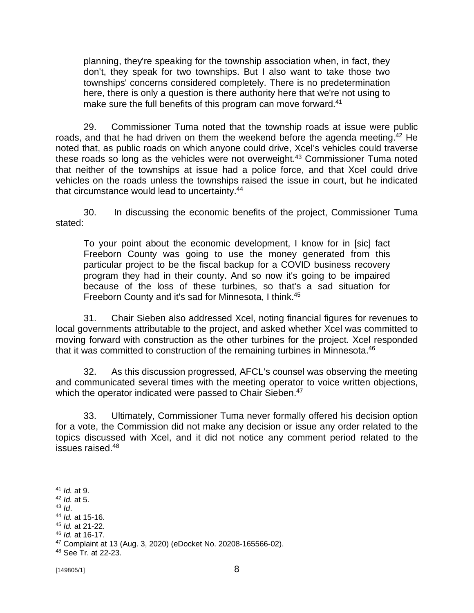planning, they're speaking for the township association when, in fact, they don't, they speak for two townships. But I also want to take those two townships' concerns considered completely. There is no predetermination here, there is only a question is there authority here that we're not using to make sure the full benefits of this program can move forward.<sup>41</sup>

29. Commissioner Tuma noted that the township roads at issue were public roads, and that he had driven on them the weekend before the agenda meeting.<sup>42</sup> He noted that, as public roads on which anyone could drive, Xcel's vehicles could traverse these roads so long as the vehicles were not overweight.<sup>43</sup> Commissioner Tuma noted that neither of the townships at issue had a police force, and that Xcel could drive vehicles on the roads unless the townships raised the issue in court, but he indicated that circumstance would lead to uncertainty.<sup>44</sup>

30. In discussing the economic benefits of the project, Commissioner Tuma stated:

To your point about the economic development, I know for in [sic] fact Freeborn County was going to use the money generated from this particular project to be the fiscal backup for a COVID business recovery program they had in their county. And so now it's going to be impaired because of the loss of these turbines, so that's a sad situation for Freeborn County and it's sad for Minnesota, I think.<sup>45</sup>

31. Chair Sieben also addressed Xcel, noting financial figures for revenues to local governments attributable to the project, and asked whether Xcel was committed to moving forward with construction as the other turbines for the project. Xcel responded that it was committed to construction of the remaining turbines in Minnesota.<sup>46</sup>

32. As this discussion progressed, AFCL's counsel was observing the meeting and communicated several times with the meeting operator to voice written objections, which the operator indicated were passed to Chair Sieben.<sup>47</sup>

33. Ultimately, Commissioner Tuma never formally offered his decision option for a vote, the Commission did not make any decision or issue any order related to the topics discussed with Xcel, and it did not notice any comment period related to the issues raised.<sup>48</sup>

<sup>41</sup> *Id.* at 9.

<sup>42</sup> *Id.* at 5.

<sup>43</sup> *Id*.

<sup>44</sup> *Id.* at 15-16.

<sup>45</sup> *Id.* at 21-22.

<sup>46</sup> *Id.* at 16-17.

<sup>47</sup> Complaint at 13 (Aug. 3, 2020) (eDocket No. 20208-165566-02).

<sup>48</sup> See Tr. at 22-23.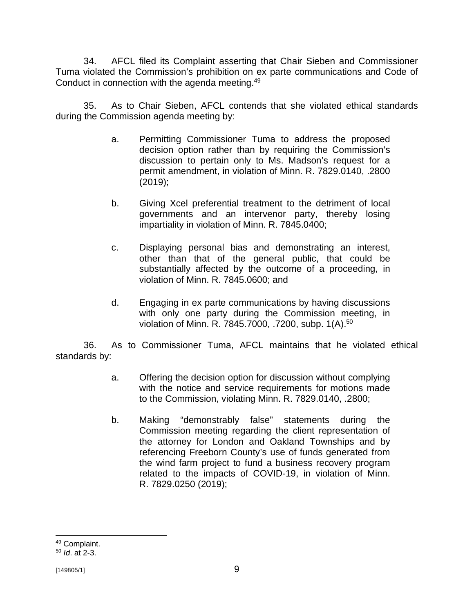34. AFCL filed its Complaint asserting that Chair Sieben and Commissioner Tuma violated the Commission's prohibition on ex parte communications and Code of Conduct in connection with the agenda meeting.<sup>49</sup>

35. As to Chair Sieben, AFCL contends that she violated ethical standards during the Commission agenda meeting by:

- a. Permitting Commissioner Tuma to address the proposed decision option rather than by requiring the Commission's discussion to pertain only to Ms. Madson's request for a permit amendment, in violation of Minn. R. 7829.0140, .2800 (2019);
- b. Giving Xcel preferential treatment to the detriment of local governments and an intervenor party, thereby losing impartiality in violation of Minn. R. 7845.0400;
- c. Displaying personal bias and demonstrating an interest, other than that of the general public, that could be substantially affected by the outcome of a proceeding, in violation of Minn. R. 7845.0600; and
- d. Engaging in ex parte communications by having discussions with only one party during the Commission meeting, in violation of Minn. R. 7845.7000, .7200, subp. 1(A). 50

36. As to Commissioner Tuma, AFCL maintains that he violated ethical standards by:

- a. Offering the decision option for discussion without complying with the notice and service requirements for motions made to the Commission, violating Minn. R. 7829.0140, .2800;
- b. Making "demonstrably false" statements during the Commission meeting regarding the client representation of the attorney for London and Oakland Townships and by referencing Freeborn County's use of funds generated from the wind farm project to fund a business recovery program related to the impacts of COVID-19, in violation of Minn. R. 7829.0250 (2019);

<sup>49</sup> Complaint.

<sup>50</sup> *Id*. at 2-3.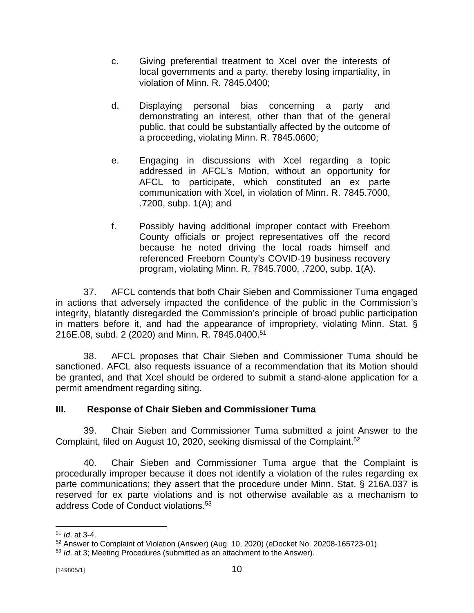- c. Giving preferential treatment to Xcel over the interests of local governments and a party, thereby losing impartiality, in violation of Minn. R. 7845.0400;
- d. Displaying personal bias concerning a party and demonstrating an interest, other than that of the general public, that could be substantially affected by the outcome of a proceeding, violating Minn. R. 7845.0600;
- e. Engaging in discussions with Xcel regarding a topic addressed in AFCL's Motion, without an opportunity for AFCL to participate, which constituted an ex parte communication with Xcel, in violation of Minn. R. 7845.7000, .7200, subp. 1(A); and
- f. Possibly having additional improper contact with Freeborn County officials or project representatives off the record because he noted driving the local roads himself and referenced Freeborn County's COVID-19 business recovery program, violating Minn. R. 7845.7000, .7200, subp. 1(A).

37. AFCL contends that both Chair Sieben and Commissioner Tuma engaged in actions that adversely impacted the confidence of the public in the Commission's integrity, blatantly disregarded the Commission's principle of broad public participation in matters before it, and had the appearance of impropriety, violating Minn. Stat. § 216E.08, subd. 2 (2020) and Minn. R. 7845.0400. 51

38. AFCL proposes that Chair Sieben and Commissioner Tuma should be sanctioned. AFCL also requests issuance of a recommendation that its Motion should be granted, and that Xcel should be ordered to submit a stand-alone application for a permit amendment regarding siting.

## **III. Response of Chair Sieben and Commissioner Tuma**

39. Chair Sieben and Commissioner Tuma submitted a joint Answer to the Complaint, filed on August 10, 2020, seeking dismissal of the Complaint. 52

40. Chair Sieben and Commissioner Tuma argue that the Complaint is procedurally improper because it does not identify a violation of the rules regarding ex parte communications; they assert that the procedure under Minn. Stat. § 216A.037 is reserved for ex parte violations and is not otherwise available as a mechanism to address Code of Conduct violations.<sup>53</sup>

<sup>51</sup> *Id*. at 3-4.

<sup>52</sup> Answer to Complaint of Violation (Answer) (Aug. 10, 2020) (eDocket No. 20208-165723-01).

<sup>53</sup> *Id*. at 3; Meeting Procedures (submitted as an attachment to the Answer).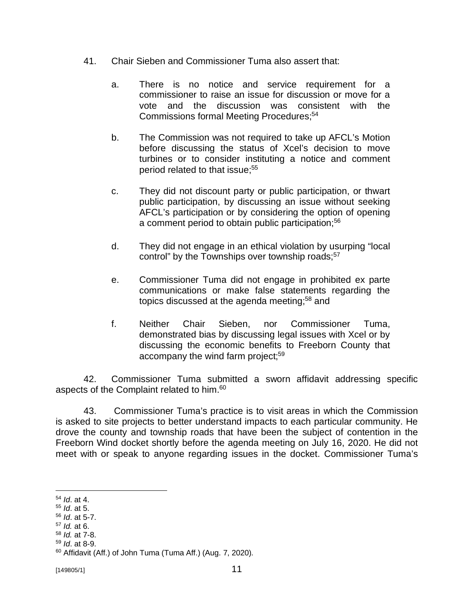- 41. Chair Sieben and Commissioner Tuma also assert that:
	- a. There is no notice and service requirement for a commissioner to raise an issue for discussion or move for a vote and the discussion was consistent with the Commissions formal Meeting Procedures; 54
	- b. The Commission was not required to take up AFCL's Motion before discussing the status of Xcel's decision to move turbines or to consider instituting a notice and comment period related to that issue; 55
	- c. They did not discount party or public participation, or thwart public participation, by discussing an issue without seeking AFCL's participation or by considering the option of opening a comment period to obtain public participation;<sup>56</sup>
	- d. They did not engage in an ethical violation by usurping "local control" by the Townships over township roads;<sup>57</sup>
	- e. Commissioner Tuma did not engage in prohibited ex parte communications or make false statements regarding the topics discussed at the agenda meeting; $58$  and
	- f. Neither Chair Sieben, nor Commissioner Tuma, demonstrated bias by discussing legal issues with Xcel or by discussing the economic benefits to Freeborn County that accompany the wind farm project;<sup>59</sup>

42. Commissioner Tuma submitted a sworn affidavit addressing specific aspects of the Complaint related to him.<sup>60</sup>

43. Commissioner Tuma's practice is to visit areas in which the Commission is asked to site projects to better understand impacts to each particular community. He drove the county and township roads that have been the subject of contention in the Freeborn Wind docket shortly before the agenda meeting on July 16, 2020. He did not meet with or speak to anyone regarding issues in the docket. Commissioner Tuma's

- <sup>55</sup> *Id*. at 5.
- <sup>56</sup> *Id*. at 5-7.
- <sup>57</sup> *Id.* at 6.
- <sup>58</sup> *Id.* at 7-8.
- <sup>59</sup> *Id*. at 8-9.

<sup>54</sup> *Id*. at 4.

<sup>60</sup> Affidavit (Aff.) of John Tuma (Tuma Aff.) (Aug. 7, 2020).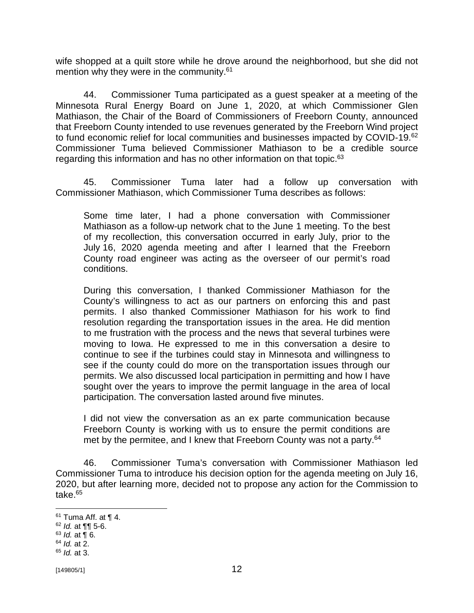wife shopped at a quilt store while he drove around the neighborhood, but she did not mention why they were in the community.<sup>61</sup>

44. Commissioner Tuma participated as a guest speaker at a meeting of the Minnesota Rural Energy Board on June 1, 2020, at which Commissioner Glen Mathiason, the Chair of the Board of Commissioners of Freeborn County, announced that Freeborn County intended to use revenues generated by the Freeborn Wind project to fund economic relief for local communities and businesses impacted by COVID-19.<sup>62</sup> Commissioner Tuma believed Commissioner Mathiason to be a credible source regarding this information and has no other information on that topic.<sup>63</sup>

45. Commissioner Tuma later had a follow up conversation with Commissioner Mathiason, which Commissioner Tuma describes as follows:

Some time later, I had a phone conversation with Commissioner Mathiason as a follow-up network chat to the June 1 meeting. To the best of my recollection, this conversation occurred in early July, prior to the July 16, 2020 agenda meeting and after I learned that the Freeborn County road engineer was acting as the overseer of our permit's road conditions.

During this conversation, I thanked Commissioner Mathiason for the County's willingness to act as our partners on enforcing this and past permits. I also thanked Commissioner Mathiason for his work to find resolution regarding the transportation issues in the area. He did mention to me frustration with the process and the news that several turbines were moving to Iowa. He expressed to me in this conversation a desire to continue to see if the turbines could stay in Minnesota and willingness to see if the county could do more on the transportation issues through our permits. We also discussed local participation in permitting and how I have sought over the years to improve the permit language in the area of local participation. The conversation lasted around five minutes.

I did not view the conversation as an ex parte communication because Freeborn County is working with us to ensure the permit conditions are met by the permitee, and I knew that Freeborn County was not a party.<sup>64</sup>

46. Commissioner Tuma's conversation with Commissioner Mathiason led Commissioner Tuma to introduce his decision option for the agenda meeting on July 16, 2020, but after learning more, decided not to propose any action for the Commission to take.<sup>65</sup>

 $61$  Tuma Aff. at  $\P$  4.

<sup>62</sup> *Id.* at ¶¶ 5-6.

 $63$  *Id.* at  $\overline{9}$  6.

<sup>64</sup> *Id.* at 2.

<sup>65</sup> *Id.* at 3.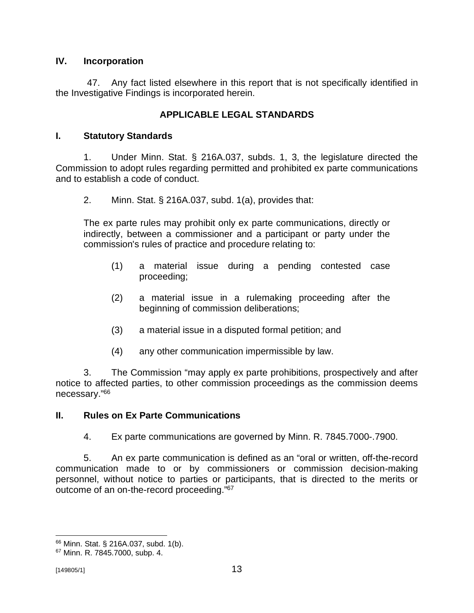## **IV. Incorporation**

47. Any fact listed elsewhere in this report that is not specifically identified in the Investigative Findings is incorporated herein.

## **APPLICABLE LEGAL STANDARDS**

## **I. Statutory Standards**

1. Under Minn. Stat. § 216A.037, subds. 1, 3, the legislature directed the Commission to adopt rules regarding permitted and prohibited ex parte communications and to establish a code of conduct.

2. Minn. Stat. § 216A.037, subd. 1(a), provides that:

The ex parte rules may prohibit only ex parte communications, directly or indirectly, between a commissioner and a participant or party under the commission's rules of practice and procedure relating to:

- (1) a material issue during a pending contested case proceeding;
- (2) a material issue in a rulemaking proceeding after the beginning of commission deliberations;
- (3) a material issue in a disputed formal petition; and
- (4) any other communication impermissible by law.

3. The Commission "may apply ex parte prohibitions, prospectively and after notice to affected parties, to other commission proceedings as the commission deems necessary." 66

### **II. Rules on Ex Parte Communications**

4. Ex parte communications are governed by Minn. R. 7845.7000-.7900.

5. An ex parte communication is defined as an "oral or written, off-the-record communication made to or by commissioners or commission decision-making personnel, without notice to parties or participants, that is directed to the merits or outcome of an on-the-record proceeding."<sup>67</sup>

<sup>66</sup> Minn. Stat. § 216A.037, subd. 1(b).

<sup>67</sup> Minn. R. 7845.7000, subp. 4.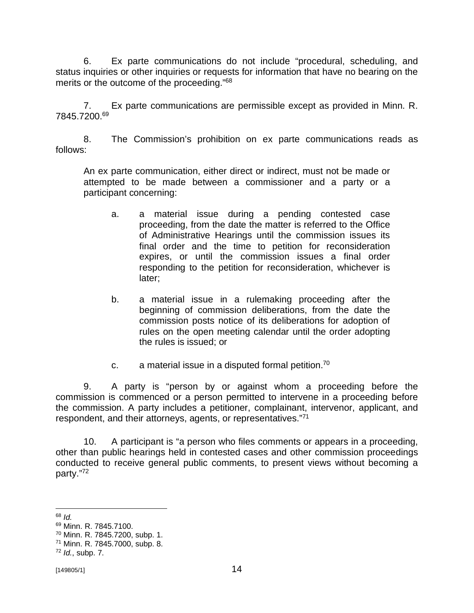6. Ex parte communications do not include "procedural, scheduling, and status inquiries or other inquiries or requests for information that have no bearing on the merits or the outcome of the proceeding."<sup>68</sup>

7. Ex parte communications are permissible except as provided in Minn. R. 7845.7200.<sup>69</sup>

8. The Commission's prohibition on ex parte communications reads as follows:

An ex parte communication, either direct or indirect, must not be made or attempted to be made between a commissioner and a party or a participant concerning:

- a. a material issue during a pending contested case proceeding, from the date the matter is referred to the Office of Administrative Hearings until the commission issues its final order and the time to petition for reconsideration expires, or until the commission issues a final order responding to the petition for reconsideration, whichever is later;
- b. a material issue in a rulemaking proceeding after the beginning of commission deliberations, from the date the commission posts notice of its deliberations for adoption of rules on the open meeting calendar until the order adopting the rules is issued; or
- c.  $\qquad$  a material issue in a disputed formal petition.<sup>70</sup>

9. A party is "person by or against whom a proceeding before the commission is commenced or a person permitted to intervene in a proceeding before the commission. A party includes a petitioner, complainant, intervenor, applicant, and respondent, and their attorneys, agents, or representatives."<sup>71</sup>

10. A participant is "a person who files comments or appears in a proceeding, other than public hearings held in contested cases and other commission proceedings conducted to receive general public comments, to present views without becoming a party."<sup>72</sup>

<sup>68</sup> *Id.*

<sup>69</sup> Minn. R. 7845.7100.

<sup>70</sup> Minn. R. 7845.7200, subp. 1.

<sup>71</sup> Minn. R. 7845.7000, subp. 8.

<sup>72</sup> *Id.*, subp. 7.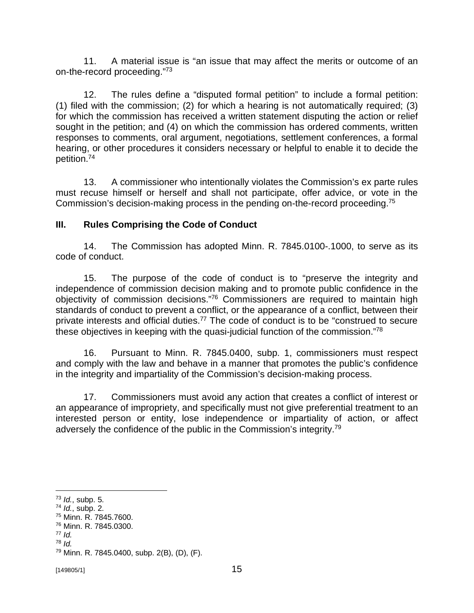11. A material issue is "an issue that may affect the merits or outcome of an on-the-record proceeding."<sup>73</sup>

12. The rules define a "disputed formal petition" to include a formal petition: (1) filed with the commission; (2) for which a hearing is not automatically required; (3) for which the commission has received a written statement disputing the action or relief sought in the petition; and (4) on which the commission has ordered comments, written responses to comments, oral argument, negotiations, settlement conferences, a formal hearing, or other procedures it considers necessary or helpful to enable it to decide the petition.<sup>74</sup>

13. A commissioner who intentionally violates the Commission's ex parte rules must recuse himself or herself and shall not participate, offer advice, or vote in the Commission's decision-making process in the pending on-the-record proceeding.<sup>75</sup>

## **III. Rules Comprising the Code of Conduct**

14. The Commission has adopted Minn. R. 7845.0100-.1000, to serve as its code of conduct.

15. The purpose of the code of conduct is to "preserve the integrity and independence of commission decision making and to promote public confidence in the objectivity of commission decisions."<sup>76</sup> Commissioners are required to maintain high standards of conduct to prevent a conflict, or the appearance of a conflict, between their private interests and official duties.<sup>77</sup> The code of conduct is to be "construed to secure these objectives in keeping with the quasi-judicial function of the commission."<sup>78</sup>

16. Pursuant to Minn. R. 7845.0400, subp. 1, commissioners must respect and comply with the law and behave in a manner that promotes the public's confidence in the integrity and impartiality of the Commission's decision-making process.

17. Commissioners must avoid any action that creates a conflict of interest or an appearance of impropriety, and specifically must not give preferential treatment to an interested person or entity, lose independence or impartiality of action, or affect adversely the confidence of the public in the Commission's integrity.<sup>79</sup>

<sup>73</sup> *Id.*, subp. 5.

<sup>74</sup> *Id.*, subp. 2.

<sup>75</sup> Minn. R. 7845.7600.

<sup>76</sup> Minn. R. 7845.0300.

<sup>77</sup> *Id.*

<sup>78</sup> *Id.*

<sup>79</sup> Minn. R. 7845.0400, subp. 2(B), (D), (F).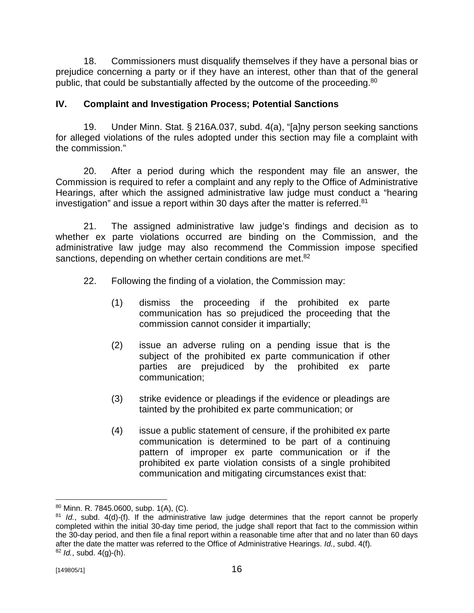18. Commissioners must disqualify themselves if they have a personal bias or prejudice concerning a party or if they have an interest, other than that of the general public, that could be substantially affected by the outcome of the proceeding.<sup>80</sup>

# **IV. Complaint and Investigation Process; Potential Sanctions**

19. Under Minn. Stat. § 216A.037, subd. 4(a), "[a]ny person seeking sanctions for alleged violations of the rules adopted under this section may file a complaint with the commission."

20. After a period during which the respondent may file an answer, the Commission is required to refer a complaint and any reply to the Office of Administrative Hearings, after which the assigned administrative law judge must conduct a "hearing investigation" and issue a report within 30 days after the matter is referred.<sup>81</sup>

21. The assigned administrative law judge's findings and decision as to whether ex parte violations occurred are binding on the Commission, and the administrative law judge may also recommend the Commission impose specified sanctions, depending on whether certain conditions are met.<sup>82</sup>

- 22. Following the finding of a violation, the Commission may:
	- (1) dismiss the proceeding if the prohibited ex parte communication has so prejudiced the proceeding that the commission cannot consider it impartially;
	- (2) issue an adverse ruling on a pending issue that is the subject of the prohibited ex parte communication if other parties are prejudiced by the prohibited ex parte communication;
	- (3) strike evidence or pleadings if the evidence or pleadings are tainted by the prohibited ex parte communication; or
	- (4) issue a public statement of censure, if the prohibited ex parte communication is determined to be part of a continuing pattern of improper ex parte communication or if the prohibited ex parte violation consists of a single prohibited communication and mitigating circumstances exist that:

<sup>80</sup> Minn. R. 7845.0600, subp. 1(A), (C).

<sup>81</sup> *Id.*, subd. 4(d)-(f). If the administrative law judge determines that the report cannot be properly completed within the initial 30-day time period, the judge shall report that fact to the commission within the 30-day period, and then file a final report within a reasonable time after that and no later than 60 days after the date the matter was referred to the Office of Administrative Hearings. *Id.*, subd. 4(f). <sup>82</sup> *Id.*, subd. 4(g)-(h).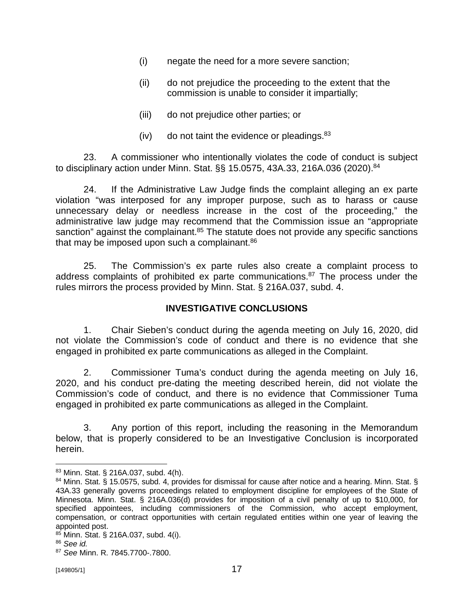- (i) negate the need for a more severe sanction;
- (ii) do not prejudice the proceeding to the extent that the commission is unable to consider it impartially;
- (iii) do not prejudice other parties; or
- (iv) do not taint the evidence or pleadings.  $83$

23. A commissioner who intentionally violates the code of conduct is subject to disciplinary action under Minn. Stat. §§ 15.0575, 43A.33, 216A.036 (2020).<sup>84</sup>

24. If the Administrative Law Judge finds the complaint alleging an ex parte violation "was interposed for any improper purpose, such as to harass or cause unnecessary delay or needless increase in the cost of the proceeding," the administrative law judge may recommend that the Commission issue an "appropriate sanction" against the complainant.<sup>85</sup> The statute does not provide any specific sanctions that may be imposed upon such a complainant. $86$ 

25. The Commission's ex parte rules also create a complaint process to address complaints of prohibited ex parte communications. $87$  The process under the rules mirrors the process provided by Minn. Stat. § 216A.037, subd. 4.

## **INVESTIGATIVE CONCLUSIONS**

1. Chair Sieben's conduct during the agenda meeting on July 16, 2020, did not violate the Commission's code of conduct and there is no evidence that she engaged in prohibited ex parte communications as alleged in the Complaint.

2. Commissioner Tuma's conduct during the agenda meeting on July 16, 2020, and his conduct pre-dating the meeting described herein, did not violate the Commission's code of conduct, and there is no evidence that Commissioner Tuma engaged in prohibited ex parte communications as alleged in the Complaint.

3. Any portion of this report, including the reasoning in the Memorandum below, that is properly considered to be an Investigative Conclusion is incorporated herein.

<sup>83</sup> Minn. Stat. § 216A.037, subd. 4(h).

<sup>84</sup> Minn. Stat. § 15.0575, subd. 4, provides for dismissal for cause after notice and a hearing. Minn. Stat. § 43A.33 generally governs proceedings related to employment discipline for employees of the State of Minnesota. Minn. Stat. § 216A.036(d) provides for imposition of a civil penalty of up to \$10,000, for specified appointees, including commissioners of the Commission, who accept employment, compensation, or contract opportunities with certain regulated entities within one year of leaving the appointed post.

<sup>85</sup> Minn. Stat. § 216A.037, subd. 4(i).

<sup>86</sup> *See id.*

<sup>87</sup> *See* Minn. R. 7845.7700-.7800.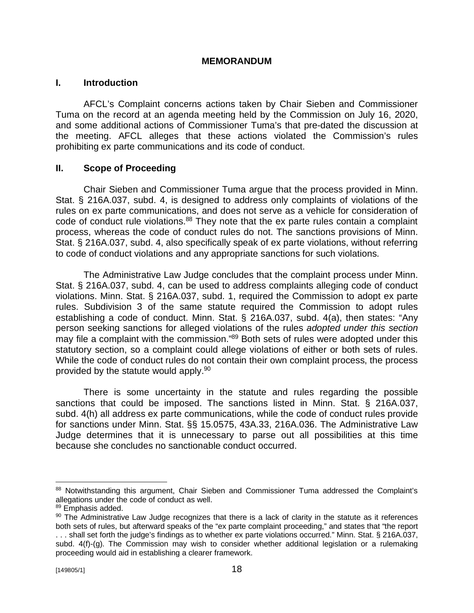#### **MEMORANDUM**

### **I. Introduction**

AFCL's Complaint concerns actions taken by Chair Sieben and Commissioner Tuma on the record at an agenda meeting held by the Commission on July 16, 2020, and some additional actions of Commissioner Tuma's that pre-dated the discussion at the meeting. AFCL alleges that these actions violated the Commission's rules prohibiting ex parte communications and its code of conduct.

### **II. Scope of Proceeding**

Chair Sieben and Commissioner Tuma argue that the process provided in Minn. Stat. § 216A.037, subd. 4, is designed to address only complaints of violations of the rules on ex parte communications, and does not serve as a vehicle for consideration of code of conduct rule violations.<sup>88</sup> They note that the ex parte rules contain a complaint process, whereas the code of conduct rules do not. The sanctions provisions of Minn. Stat. § 216A.037, subd. 4, also specifically speak of ex parte violations, without referring to code of conduct violations and any appropriate sanctions for such violations.

The Administrative Law Judge concludes that the complaint process under Minn. Stat. § 216A.037, subd. 4, can be used to address complaints alleging code of conduct violations. Minn. Stat. § 216A.037, subd. 1, required the Commission to adopt ex parte rules. Subdivision 3 of the same statute required the Commission to adopt rules establishing a code of conduct. Minn. Stat. § 216A.037, subd. 4(a), then states: "Any person seeking sanctions for alleged violations of the rules *adopted under this section* may file a complaint with the commission."<sup>89</sup> Both sets of rules were adopted under this statutory section, so a complaint could allege violations of either or both sets of rules. While the code of conduct rules do not contain their own complaint process, the process provided by the statute would apply.<sup>90</sup>

There is some uncertainty in the statute and rules regarding the possible sanctions that could be imposed. The sanctions listed in Minn. Stat. § 216A.037, subd. 4(h) all address ex parte communications, while the code of conduct rules provide for sanctions under Minn. Stat. §§ 15.0575, 43A.33, 216A.036. The Administrative Law Judge determines that it is unnecessary to parse out all possibilities at this time because she concludes no sanctionable conduct occurred.

<sup>88</sup> Notwithstanding this argument, Chair Sieben and Commissioner Tuma addressed the Complaint's allegations under the code of conduct as well.

<sup>89</sup> Emphasis added.

<sup>90</sup> The Administrative Law Judge recognizes that there is a lack of clarity in the statute as it references both sets of rules, but afterward speaks of the "ex parte complaint proceeding," and states that "the report . . . shall set forth the judge's findings as to whether ex parte violations occurred." Minn. Stat. § 216A.037,

subd. 4(f)-(g). The Commission may wish to consider whether additional legislation or a rulemaking proceeding would aid in establishing a clearer framework.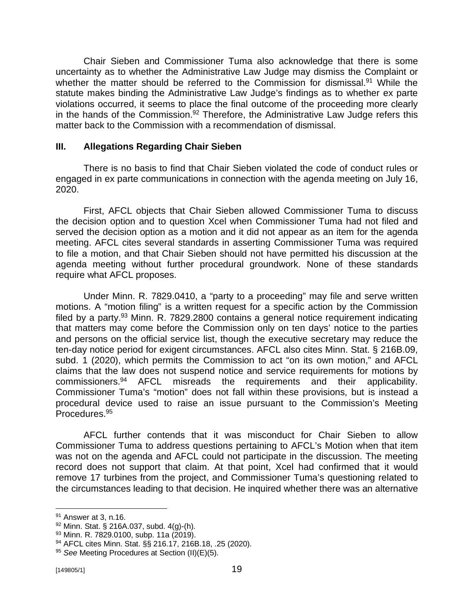Chair Sieben and Commissioner Tuma also acknowledge that there is some uncertainty as to whether the Administrative Law Judge may dismiss the Complaint or whether the matter should be referred to the Commission for dismissal.<sup>91</sup> While the statute makes binding the Administrative Law Judge's findings as to whether ex parte violations occurred, it seems to place the final outcome of the proceeding more clearly in the hands of the Commission.<sup>92</sup> Therefore, the Administrative Law Judge refers this matter back to the Commission with a recommendation of dismissal.

### **III. Allegations Regarding Chair Sieben**

There is no basis to find that Chair Sieben violated the code of conduct rules or engaged in ex parte communications in connection with the agenda meeting on July 16, 2020.

First, AFCL objects that Chair Sieben allowed Commissioner Tuma to discuss the decision option and to question Xcel when Commissioner Tuma had not filed and served the decision option as a motion and it did not appear as an item for the agenda meeting. AFCL cites several standards in asserting Commissioner Tuma was required to file a motion, and that Chair Sieben should not have permitted his discussion at the agenda meeting without further procedural groundwork. None of these standards require what AFCL proposes.

Under Minn. R. 7829.0410, a "party to a proceeding" may file and serve written motions. A "motion filing" is a written request for a specific action by the Commission filed by a party. $93$  Minn. R. 7829.2800 contains a general notice requirement indicating that matters may come before the Commission only on ten days' notice to the parties and persons on the official service list, though the executive secretary may reduce the ten-day notice period for exigent circumstances. AFCL also cites Minn. Stat. § 216B.09, subd. 1 (2020), which permits the Commission to act "on its own motion," and AFCL claims that the law does not suspend notice and service requirements for motions by commissioners.<sup>94</sup> AFCL misreads the requirements and their applicability. Commissioner Tuma's "motion" does not fall within these provisions, but is instead a procedural device used to raise an issue pursuant to the Commission's Meeting Procedures.<sup>95</sup>

AFCL further contends that it was misconduct for Chair Sieben to allow Commissioner Tuma to address questions pertaining to AFCL's Motion when that item was not on the agenda and AFCL could not participate in the discussion. The meeting record does not support that claim. At that point, Xcel had confirmed that it would remove 17 turbines from the project, and Commissioner Tuma's questioning related to the circumstances leading to that decision. He inquired whether there was an alternative

<sup>91</sup> Answer at 3, n.16.

 $92$  Minn. Stat. § 216A.037, subd. 4(g)-(h).

<sup>93</sup> Minn. R. 7829.0100, subp. 11a (2019).

<sup>94</sup> AFCL cites Minn. Stat. §§ 216.17, 216B.18, .25 (2020).

<sup>95</sup> *See* Meeting Procedures at Section (II)(E)(5).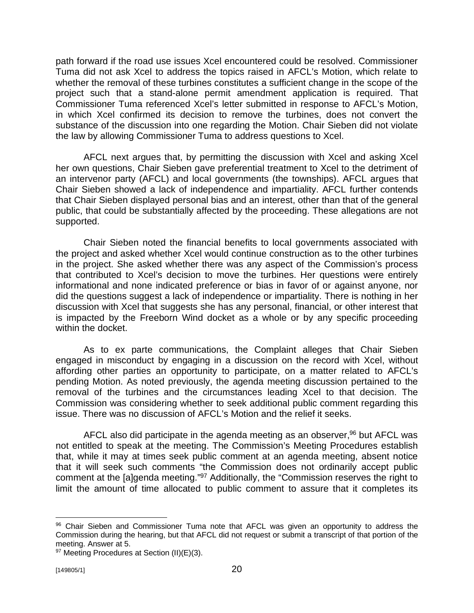path forward if the road use issues Xcel encountered could be resolved. Commissioner Tuma did not ask Xcel to address the topics raised in AFCL's Motion, which relate to whether the removal of these turbines constitutes a sufficient change in the scope of the project such that a stand-alone permit amendment application is required. That Commissioner Tuma referenced Xcel's letter submitted in response to AFCL's Motion, in which Xcel confirmed its decision to remove the turbines, does not convert the substance of the discussion into one regarding the Motion. Chair Sieben did not violate the law by allowing Commissioner Tuma to address questions to Xcel.

AFCL next argues that, by permitting the discussion with Xcel and asking Xcel her own questions, Chair Sieben gave preferential treatment to Xcel to the detriment of an intervenor party (AFCL) and local governments (the townships). AFCL argues that Chair Sieben showed a lack of independence and impartiality. AFCL further contends that Chair Sieben displayed personal bias and an interest, other than that of the general public, that could be substantially affected by the proceeding. These allegations are not supported.

Chair Sieben noted the financial benefits to local governments associated with the project and asked whether Xcel would continue construction as to the other turbines in the project. She asked whether there was any aspect of the Commission's process that contributed to Xcel's decision to move the turbines. Her questions were entirely informational and none indicated preference or bias in favor of or against anyone, nor did the questions suggest a lack of independence or impartiality. There is nothing in her discussion with Xcel that suggests she has any personal, financial, or other interest that is impacted by the Freeborn Wind docket as a whole or by any specific proceeding within the docket.

As to ex parte communications, the Complaint alleges that Chair Sieben engaged in misconduct by engaging in a discussion on the record with Xcel, without affording other parties an opportunity to participate, on a matter related to AFCL's pending Motion. As noted previously, the agenda meeting discussion pertained to the removal of the turbines and the circumstances leading Xcel to that decision. The Commission was considering whether to seek additional public comment regarding this issue. There was no discussion of AFCL's Motion and the relief it seeks.

AFCL also did participate in the agenda meeting as an observer,<sup>96</sup> but AFCL was not entitled to speak at the meeting. The Commission's Meeting Procedures establish that, while it may at times seek public comment at an agenda meeting, absent notice that it will seek such comments "the Commission does not ordinarily accept public comment at the [a]genda meeting."<sup>97</sup> Additionally, the "Commission reserves the right to limit the amount of time allocated to public comment to assure that it completes its

<sup>96</sup> Chair Sieben and Commissioner Tuma note that AFCL was given an opportunity to address the Commission during the hearing, but that AFCL did not request or submit a transcript of that portion of the meeting. Answer at 5.

<sup>97</sup> Meeting Procedures at Section (II)(E)(3).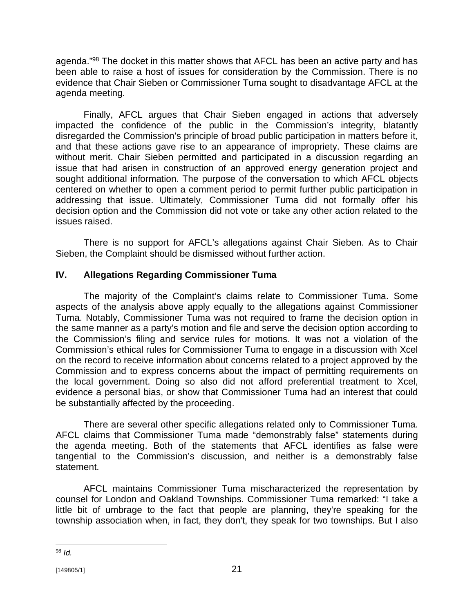agenda."<sup>98</sup> The docket in this matter shows that AFCL has been an active party and has been able to raise a host of issues for consideration by the Commission. There is no evidence that Chair Sieben or Commissioner Tuma sought to disadvantage AFCL at the agenda meeting.

Finally, AFCL argues that Chair Sieben engaged in actions that adversely impacted the confidence of the public in the Commission's integrity, blatantly disregarded the Commission's principle of broad public participation in matters before it, and that these actions gave rise to an appearance of impropriety. These claims are without merit. Chair Sieben permitted and participated in a discussion regarding an issue that had arisen in construction of an approved energy generation project and sought additional information. The purpose of the conversation to which AFCL objects centered on whether to open a comment period to permit further public participation in addressing that issue. Ultimately, Commissioner Tuma did not formally offer his decision option and the Commission did not vote or take any other action related to the issues raised.

There is no support for AFCL's allegations against Chair Sieben. As to Chair Sieben, the Complaint should be dismissed without further action.

# **IV. Allegations Regarding Commissioner Tuma**

The majority of the Complaint's claims relate to Commissioner Tuma. Some aspects of the analysis above apply equally to the allegations against Commissioner Tuma. Notably, Commissioner Tuma was not required to frame the decision option in the same manner as a party's motion and file and serve the decision option according to the Commission's filing and service rules for motions. It was not a violation of the Commission's ethical rules for Commissioner Tuma to engage in a discussion with Xcel on the record to receive information about concerns related to a project approved by the Commission and to express concerns about the impact of permitting requirements on the local government. Doing so also did not afford preferential treatment to Xcel, evidence a personal bias, or show that Commissioner Tuma had an interest that could be substantially affected by the proceeding.

There are several other specific allegations related only to Commissioner Tuma. AFCL claims that Commissioner Tuma made "demonstrably false" statements during the agenda meeting. Both of the statements that AFCL identifies as false were tangential to the Commission's discussion, and neither is a demonstrably false statement.

AFCL maintains Commissioner Tuma mischaracterized the representation by counsel for London and Oakland Townships. Commissioner Tuma remarked: "I take a little bit of umbrage to the fact that people are planning, they're speaking for the township association when, in fact, they don't, they speak for two townships. But I also

<sup>98</sup> *Id.*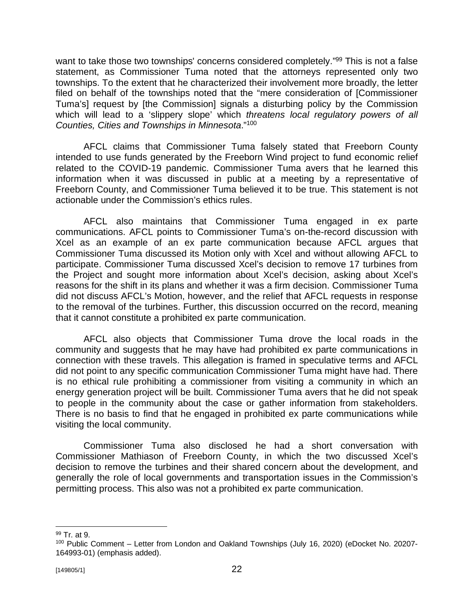want to take those two townships' concerns considered completely."<sup>99</sup> This is not a false statement, as Commissioner Tuma noted that the attorneys represented only two townships. To the extent that he characterized their involvement more broadly, the letter filed on behalf of the townships noted that the "mere consideration of [Commissioner Tuma's] request by [the Commission] signals a disturbing policy by the Commission which will lead to a 'slippery slope' which *threatens local regulatory powers of all Counties, Cities and Townships in Minnesota*."<sup>100</sup>

AFCL claims that Commissioner Tuma falsely stated that Freeborn County intended to use funds generated by the Freeborn Wind project to fund economic relief related to the COVID-19 pandemic. Commissioner Tuma avers that he learned this information when it was discussed in public at a meeting by a representative of Freeborn County, and Commissioner Tuma believed it to be true. This statement is not actionable under the Commission's ethics rules.

AFCL also maintains that Commissioner Tuma engaged in ex parte communications. AFCL points to Commissioner Tuma's on-the-record discussion with Xcel as an example of an ex parte communication because AFCL argues that Commissioner Tuma discussed its Motion only with Xcel and without allowing AFCL to participate. Commissioner Tuma discussed Xcel's decision to remove 17 turbines from the Project and sought more information about Xcel's decision, asking about Xcel's reasons for the shift in its plans and whether it was a firm decision. Commissioner Tuma did not discuss AFCL's Motion, however, and the relief that AFCL requests in response to the removal of the turbines. Further, this discussion occurred on the record, meaning that it cannot constitute a prohibited ex parte communication.

AFCL also objects that Commissioner Tuma drove the local roads in the community and suggests that he may have had prohibited ex parte communications in connection with these travels. This allegation is framed in speculative terms and AFCL did not point to any specific communication Commissioner Tuma might have had. There is no ethical rule prohibiting a commissioner from visiting a community in which an energy generation project will be built. Commissioner Tuma avers that he did not speak to people in the community about the case or gather information from stakeholders. There is no basis to find that he engaged in prohibited ex parte communications while visiting the local community.

Commissioner Tuma also disclosed he had a short conversation with Commissioner Mathiason of Freeborn County, in which the two discussed Xcel's decision to remove the turbines and their shared concern about the development, and generally the role of local governments and transportation issues in the Commission's permitting process. This also was not a prohibited ex parte communication.

<sup>99</sup> Tr. at 9.

<sup>&</sup>lt;sup>100</sup> Public Comment – Letter from London and Oakland Townships (July 16, 2020) (eDocket No. 20207-164993-01) (emphasis added).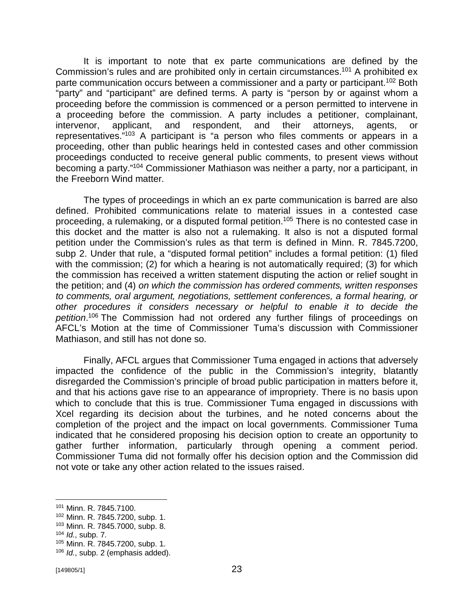It is important to note that ex parte communications are defined by the Commission's rules and are prohibited only in certain circumstances.<sup>101</sup> A prohibited ex parte communication occurs between a commissioner and a party or participant.<sup>102</sup> Both "party" and "participant" are defined terms. A party is "person by or against whom a proceeding before the commission is commenced or a person permitted to intervene in a proceeding before the commission. A party includes a petitioner, complainant, intervenor, applicant, and respondent, and their attorneys, agents, or representatives."<sup>103</sup> A participant is "a person who files comments or appears in a proceeding, other than public hearings held in contested cases and other commission proceedings conducted to receive general public comments, to present views without becoming a party."<sup>104</sup> Commissioner Mathiason was neither a party, nor a participant, in the Freeborn Wind matter.

The types of proceedings in which an ex parte communication is barred are also defined. Prohibited communications relate to material issues in a contested case proceeding, a rulemaking, or a disputed formal petition. <sup>105</sup> There is no contested case in this docket and the matter is also not a rulemaking. It also is not a disputed formal petition under the Commission's rules as that term is defined in Minn. R. 7845.7200, subp 2. Under that rule, a "disputed formal petition" includes a formal petition: (1) filed with the commission; (2) for which a hearing is not automatically required; (3) for which the commission has received a written statement disputing the action or relief sought in the petition; and (4) *on which the commission has ordered comments, written responses to comments, oral argument, negotiations, settlement conferences, a formal hearing, or other procedures it considers necessary or helpful to enable it to decide the petition*. <sup>106</sup> The Commission had not ordered any further filings of proceedings on AFCL's Motion at the time of Commissioner Tuma's discussion with Commissioner Mathiason, and still has not done so.

Finally, AFCL argues that Commissioner Tuma engaged in actions that adversely impacted the confidence of the public in the Commission's integrity, blatantly disregarded the Commission's principle of broad public participation in matters before it, and that his actions gave rise to an appearance of impropriety. There is no basis upon which to conclude that this is true. Commissioner Tuma engaged in discussions with Xcel regarding its decision about the turbines, and he noted concerns about the completion of the project and the impact on local governments. Commissioner Tuma indicated that he considered proposing his decision option to create an opportunity to gather further information, particularly through opening a comment period. Commissioner Tuma did not formally offer his decision option and the Commission did not vote or take any other action related to the issues raised.

<sup>101</sup> Minn. R. 7845.7100.

<sup>102</sup> Minn. R. 7845.7200, subp. 1.

<sup>103</sup> Minn. R. 7845.7000, subp. 8.

<sup>104</sup> *Id.*, subp. 7.

<sup>105</sup> Minn. R. 7845.7200, subp. 1.

<sup>106</sup> *Id.*, subp. 2 (emphasis added).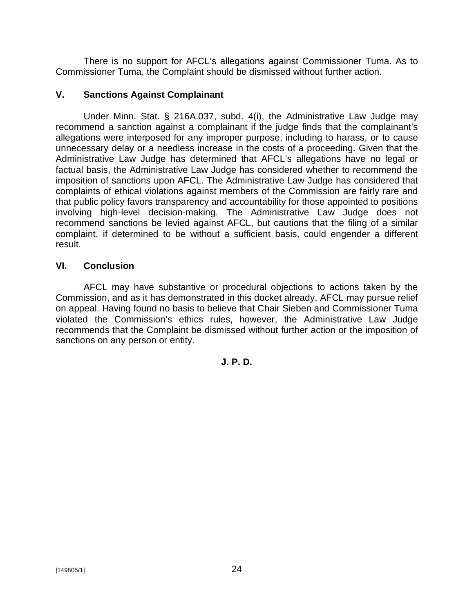There is no support for AFCL's allegations against Commissioner Tuma. As to Commissioner Tuma, the Complaint should be dismissed without further action.

### **V. Sanctions Against Complainant**

Under Minn. Stat. § 216A.037, subd. 4(i), the Administrative Law Judge may recommend a sanction against a complainant if the judge finds that the complainant's allegations were interposed for any improper purpose, including to harass, or to cause unnecessary delay or a needless increase in the costs of a proceeding. Given that the Administrative Law Judge has determined that AFCL's allegations have no legal or factual basis, the Administrative Law Judge has considered whether to recommend the imposition of sanctions upon AFCL. The Administrative Law Judge has considered that complaints of ethical violations against members of the Commission are fairly rare and that public policy favors transparency and accountability for those appointed to positions involving high-level decision-making. The Administrative Law Judge does not recommend sanctions be levied against AFCL, but cautions that the filing of a similar complaint, if determined to be without a sufficient basis, could engender a different result.

## **VI. Conclusion**

AFCL may have substantive or procedural objections to actions taken by the Commission, and as it has demonstrated in this docket already, AFCL may pursue relief on appeal. Having found no basis to believe that Chair Sieben and Commissioner Tuma violated the Commission's ethics rules, however, the Administrative Law Judge recommends that the Complaint be dismissed without further action or the imposition of sanctions on any person or entity.

## **J. P. D.**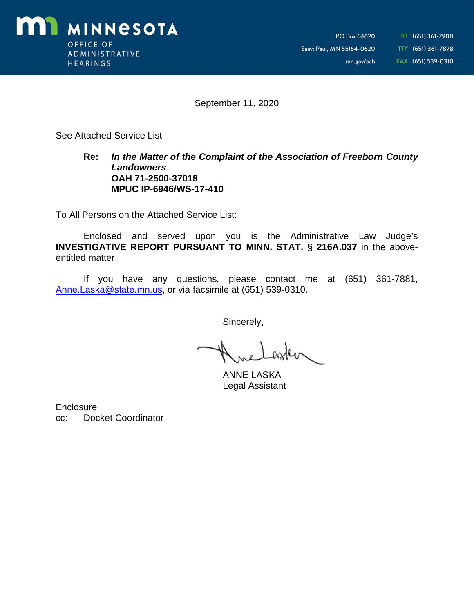

September 11, 2020

See Attached Service List

#### **Re:** *In the Matter of the Complaint of the Association of Freeborn County Landowners* **OAH 71-2500-37018 MPUC IP-6946/WS-17-410**

To All Persons on the Attached Service List:

Enclosed and served upon you is the Administrative Law Judge's **INVESTIGATIVE REPORT PURSUANT TO MINN. STAT. § 216A.037** in the aboveentitled matter.

If you have any questions, please contact me at (651) 361-7881, [Anne.Laska@state.mn.us,](mailto:Anne.Laska@state.mn.us,) or via facsimile at (651) 539-0310.

Sincerely,

ANNE LASKA Legal Assistant

**Enclosure** cc: Docket Coordinator